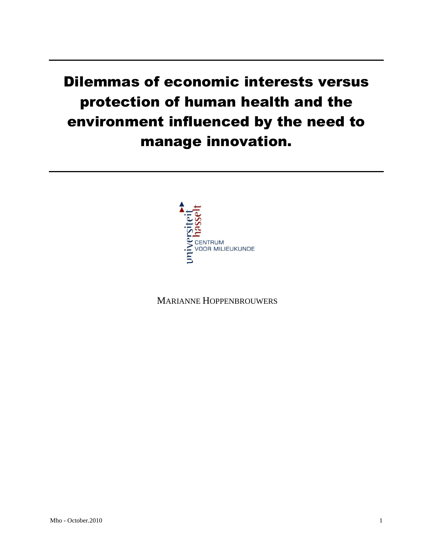# Dilemmas of economic interests versus protection of human health and the environment influenced by the need to manage innovation.



MARIANNE HOPPENBROUWERS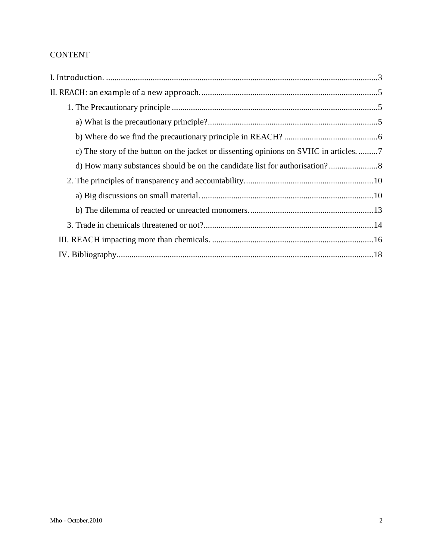# CONTENT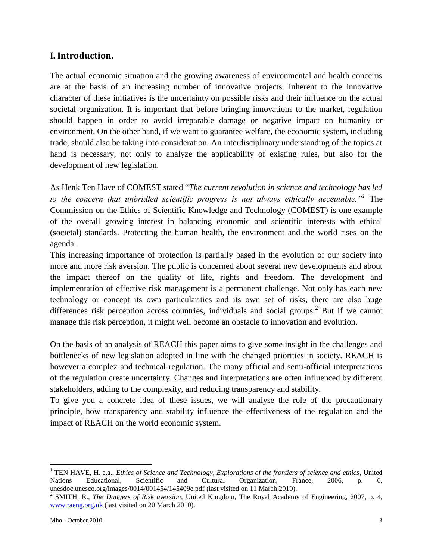## <span id="page-2-0"></span>**I. Introduction.**

The actual economic situation and the growing awareness of environmental and health concerns are at the basis of an increasing number of innovative projects. Inherent to the innovative character of these initiatives is the uncertainty on possible risks and their influence on the actual societal organization. It is important that before bringing innovations to the market, regulation should happen in order to avoid irreparable damage or negative impact on humanity or environment. On the other hand, if we want to guarantee welfare, the economic system, including trade, should also be taking into consideration. An interdisciplinary understanding of the topics at hand is necessary, not only to analyze the applicability of existing rules, but also for the development of new legislation.

As Henk Ten Have of COMEST stated "*The current revolution in science and technology has led to the concern that unbridled scientific progress is not always ethically acceptable."<sup>1</sup>* The Commission on the Ethics of Scientific Knowledge and Technology (COMEST) is one example of the overall growing interest in balancing economic and scientific interests with ethical (societal) standards. Protecting the human health, the environment and the world rises on the agenda.

This increasing importance of protection is partially based in the evolution of our society into more and more risk aversion. The public is concerned about several new developments and about the impact thereof on the quality of life, rights and freedom. The development and implementation of effective risk management is a permanent challenge. Not only has each new technology or concept its own particularities and its own set of risks, there are also huge differences risk perception across countries, individuals and social groups.<sup>2</sup> But if we cannot manage this risk perception, it might well become an obstacle to innovation and evolution.

On the basis of an analysis of REACH this paper aims to give some insight in the challenges and bottlenecks of new legislation adopted in line with the changed priorities in society. REACH is however a complex and technical regulation. The many official and semi-official interpretations of the regulation create uncertainty. Changes and interpretations are often influenced by different stakeholders, adding to the complexity, and reducing transparency and stability.

To give you a concrete idea of these issues, we will analyse the role of the precautionary principle, how transparency and stability influence the effectiveness of the regulation and the impact of REACH on the world economic system.

<sup>1</sup> TEN HAVE, H. e.a., *Ethics of Science and Technology, Explorations of the frontiers of science and ethics*, United Nations Educational, Scientific and Cultural Organization, France, 2006, p. 6, unesdoc.unesco.org/images/0014/001454/145409e.pdf (last visited on 11 March 2010).

<sup>2</sup> SMITH, R., *The Dangers of Risk aversion*, United Kingdom, The Royal Academy of Engineering, 2007, p. 4, [www.raeng.org.uk](http://www.raeng.org.uk/) (last visited on 20 March 2010).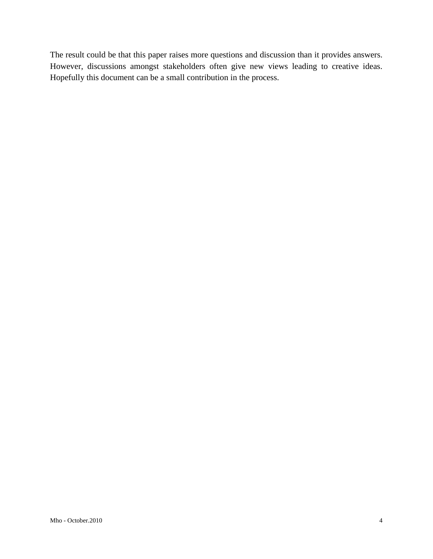The result could be that this paper raises more questions and discussion than it provides answers. However, discussions amongst stakeholders often give new views leading to creative ideas. Hopefully this document can be a small contribution in the process.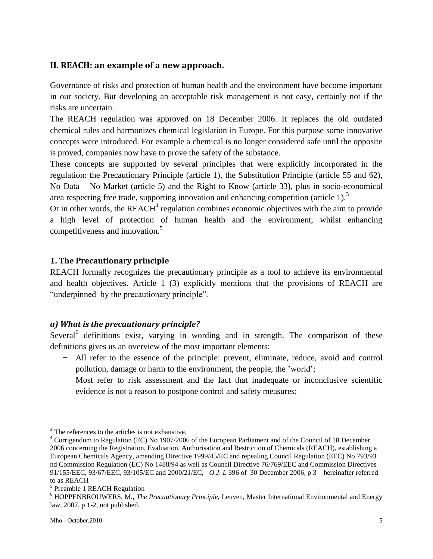## <span id="page-4-0"></span>**II. REACH: an example of a new approach.**

Governance of risks and protection of human health and the environment have become important in our society. But developing an acceptable risk management is not easy, certainly not if the risks are uncertain.

The REACH regulation was approved on 18 December 2006. It replaces the old outdated chemical rules and harmonizes chemical legislation in Europe. For this purpose some innovative concepts were introduced. For example a chemical is no longer considered safe until the opposite is proved, companies now have to prove the safety of the substance.

These concepts are supported by several principles that were explicitly incorporated in the regulation: the Precautionary Principle (article 1), the Substitution Principle (article 55 and 62), No Data – No Market (article 5) and the Right to Know (article 33), plus in socio-economical area respecting free trade, supporting innovation and enhancing competition (article  $1$ ).<sup>3</sup>

Or in other words, the  $REACH<sup>4</sup>$  regulation combines economic objectives with the aim to provide a high level of protection of human health and the environment, whilst enhancing competitiveness and innovation.<sup>5</sup>

#### <span id="page-4-1"></span>**1. The Precautionary principle**

REACH formally recognizes the precautionary principle as a tool to achieve its environmental and health objectives. Article 1 (3) explicitly mentions that the provisions of REACH are "underpinned by the precautionary principle".

#### <span id="page-4-2"></span>*a) What is the precautionary principle?*

Several<sup>6</sup> definitions exist, varying in wording and in strength. The comparison of these definitions gives us an overview of the most important elements:

- − All refer to the essence of the principle: prevent, eliminate, reduce, avoid and control pollution, damage or harm to the environment, the people, the "world";
- − Most refer to risk assessment and the fact that inadequate or inconclusive scientific evidence is not a reason to postpone control and safety measures;

 $\overline{a}$  $3$  The references to the articles is not exhaustive.

<sup>4</sup> Corrigendum to Regulation (EC) No 1907/2006 of the European Parliament and of the Council of 18 December 2006 concerning the Registration, Evaluation, Authorisation and Restriction of Chemicals (REACH), establishing a European Chemicals Agency, amending Directive 1999/45/EC and repealing Council Regulation (EEC) No 793/93 nd Commission Regulation (EC) No 1488/94 as well as Council Directive 76/769/EEC and Commission Directives 91/155/EEC, 93/67/EEC, 93/105/EC and 2000/21/EC, *O.J. L* 396 of 30 December 2006, p 3 – hereinafter referred to as REACH

<sup>&</sup>lt;sup>5</sup> Preamble 1 REACH Regulation

<sup>6</sup> HOPPENBROUWERS, M., *The Precautionary Principle,* Leuven, Master International Environmental and Energy law, 2007, p 1-2, not published.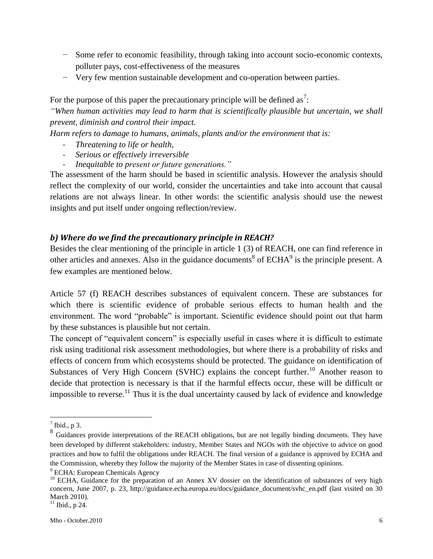- − Some refer to economic feasibility, through taking into account socio-economic contexts, polluter pays, cost-effectiveness of the measures
- − Very few mention sustainable development and co-operation between parties.

For the purpose of this paper the precautionary principle will be defined as<sup>7</sup>:

*"When human activities may lead to harm that is scientifically plausible but uncertain, we shall prevent, diminish and control their impact.*

*Harm refers to damage to humans, animals, plants and/or the environment that is:*

- *Threatening to life or health,*
- *Serious or effectively irreversible*
- *Inequitable to present or future generations.*"

The assessment of the harm should be based in scientific analysis. However the analysis should reflect the complexity of our world, consider the uncertainties and take into account that causal relations are not always linear. In other words: the scientific analysis should use the newest insights and put itself under ongoing reflection/review.

#### <span id="page-5-0"></span>*b) Where do we find the precautionary principle in REACH?*

Besides the clear mentioning of the principle in article 1 (3) of REACH, one can find reference in other articles and annexes. Also in the guidance documents<sup>8</sup> of  $ECHA<sup>9</sup>$  is the principle present. A few examples are mentioned below.

Article 57 (f) REACH describes substances of equivalent concern. These are substances for which there is scientific evidence of probable serious effects to human health and the environment. The word "probable" is important. Scientific evidence should point out that harm by these substances is plausible but not certain.

The concept of "equivalent concern" is especially useful in cases where it is difficult to estimate risk using traditional risk assessment methodologies, but where there is a probability of risks and effects of concern from which ecosystems should be protected. The guidance on identification of Substances of Very High Concern (SVHC) explains the concept further.<sup>10</sup> Another reason to decide that protection is necessary is that if the harmful effects occur, these will be difficult or impossible to reverse.<sup>11</sup> Thus it is the dual uncertainty caused by lack of evidence and knowledge

 $<sup>7</sup>$  Ibid., p 3.</sup>

<sup>&</sup>lt;sup>8</sup> Guidances provide interpretations of the REACH obligations, but are not legally binding documents. They have been developed by different stakeholders: industry, Member States and NGOs with the objective to advice on good practices and how to fulfil the obligations under REACH. The final version of a guidance is approved by ECHA and the Commission, whereby they follow the majority of the Member States in case of dissenting opinions.

<sup>&</sup>lt;sup>9</sup> ECHA: European Chemicals Agency

<sup>&</sup>lt;sup>10</sup> ECHA, Guidance for the preparation of an Annex XV dossier on the identification of substances of very high concern, June 2007, p. 23, http://guidance.echa.europa.eu/docs/guidance\_document/svhc\_en.pdf (last visited on 30 March 2010).

<sup>&</sup>lt;sup>11</sup> Ibid., p 24.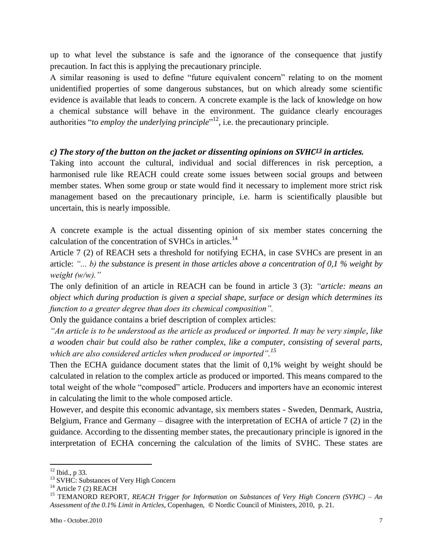up to what level the substance is safe and the ignorance of the consequence that justify precaution. In fact this is applying the precautionary principle.

A similar reasoning is used to define "future equivalent concern" relating to on the moment unidentified properties of some dangerous substances, but on which already some scientific evidence is available that leads to concern. A concrete example is the lack of knowledge on how a chemical substance will behave in the environment. The guidance clearly encourages authorities "*to employ the underlying principle*"<sup>12</sup>, i.e. the precautionary principle.

#### <span id="page-6-0"></span>*c) The story of the button on the jacket or dissenting opinions on SVHC<sup>13</sup> in articles.*

Taking into account the cultural, individual and social differences in risk perception, a harmonised rule like REACH could create some issues between social groups and between member states. When some group or state would find it necessary to implement more strict risk management based on the precautionary principle, i.e. harm is scientifically plausible but uncertain, this is nearly impossible.

A concrete example is the actual dissenting opinion of six member states concerning the calculation of the concentration of SVHCs in articles.<sup>14</sup>

Article 7 (2) of REACH sets a threshold for notifying ECHA, in case SVHCs are present in an article: *"... b) the substance is present in those articles above a concentration of 0,1 % weight by weight (w/w)."*

The only definition of an article in REACH can be found in article 3 (3): *"article: means an object which during production is given a special shape, surface or design which determines its function to a greater degree than does its chemical composition".*

Only the guidance contains a brief description of complex articles:

*"An article is to be understood as the article as produced or imported. It may be very simple, like a wooden chair but could also be rather complex, like a computer, consisting of several parts, which are also considered articles when produced or imported".<sup>15</sup>*

Then the ECHA guidance document states that the limit of 0,1% weight by weight should be calculated in relation to the complex article as produced or imported. This means compared to the total weight of the whole "composed" article. Producers and importers have an economic interest in calculating the limit to the whole composed article.

However, and despite this economic advantage, six members states - Sweden, Denmark, Austria, Belgium, France and Germany – disagree with the interpretation of ECHA of article 7 (2) in the guidance. According to the dissenting member states, the precautionary principle is ignored in the interpretation of ECHA concerning the calculation of the limits of SVHC. These states are

<sup>12</sup> Ibid., p 33.

<sup>&</sup>lt;sup>13</sup> SVHC: Substances of Very High Concern

 $14$  Article 7 (2) REACH

<sup>15</sup> TEMANORD REPORT, *REACH Trigger for Information on Substances of Very High Concern (SVHC)* – *An Assessment of the 0.1% Limit in Articles*, Copenhagen, **©** Nordic Council of Ministers, 2010, p. 21.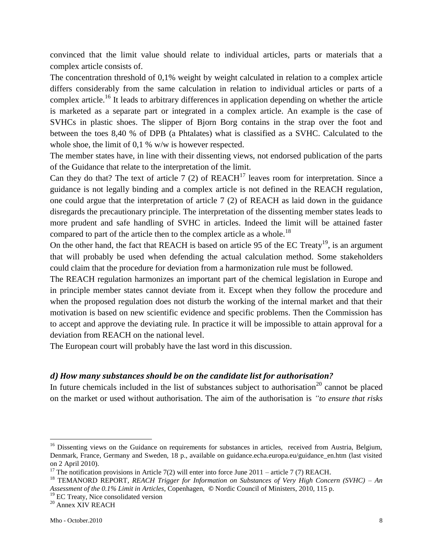convinced that the limit value should relate to individual articles, parts or materials that a complex article consists of.

The concentration threshold of 0,1% weight by weight calculated in relation to a complex article differs considerably from the same calculation in relation to individual articles or parts of a complex article.<sup>16</sup> It leads to arbitrary differences in application depending on whether the article is marketed as a separate part or integrated in a complex article. An example is the case of SVHCs in plastic shoes. The slipper of Bjorn Borg contains in the strap over the foot and between the toes 8,40 % of DPB (a Phtalates) what is classified as a SVHC. Calculated to the whole shoe, the limit of 0,1 % w/w is however respected.

The member states have, in line with their dissenting views, not endorsed publication of the parts of the Guidance that relate to the interpretation of the limit.

Can they do that? The text of article 7 (2) of  $REACH<sup>17</sup>$  leaves room for interpretation. Since a guidance is not legally binding and a complex article is not defined in the REACH regulation, one could argue that the interpretation of article 7 (2) of REACH as laid down in the guidance disregards the precautionary principle. The interpretation of the dissenting member states leads to more prudent and safe handling of SVHC in articles. Indeed the limit will be attained faster compared to part of the article then to the complex article as a whole.<sup>18</sup>

On the other hand, the fact that REACH is based on article 95 of the EC Treaty<sup>19</sup>, is an argument that will probably be used when defending the actual calculation method. Some stakeholders could claim that the procedure for deviation from a harmonization rule must be followed.

The REACH regulation harmonizes an important part of the chemical legislation in Europe and in principle member states cannot deviate from it. Except when they follow the procedure and when the proposed regulation does not disturb the working of the internal market and that their motivation is based on new scientific evidence and specific problems. Then the Commission has to accept and approve the deviating rule. In practice it will be impossible to attain approval for a deviation from REACH on the national level.

The European court will probably have the last word in this discussion.

#### <span id="page-7-0"></span>*d) How many substances should be on the candidate list for authorisation?*

In future chemicals included in the list of substances subject to authorisation<sup>20</sup> cannot be placed on the market or used without authorisation. The aim of the authorisation is *"to ensure that risks* 

<sup>&</sup>lt;sup>16</sup> Dissenting views on the Guidance on requirements for substances in articles, received from Austria, Belgium, Denmark, France, Germany and Sweden, 18 p., available on guidance.echa.europa.eu/guidance\_en.htm (last visited on 2 April 2010).

<sup>&</sup>lt;sup>17</sup> The notification provisions in Article 7(2) will enter into force June 2011 – article 7 (7) REACH.

<sup>18</sup> TEMANORD REPORT, *REACH Trigger for Information on Substances of Very High Concern (SVHC)* – *An Assessment of the 0.1% Limit in Articles*, Copenhagen, **©** Nordic Council of Ministers, 2010, 115 p.

<sup>&</sup>lt;sup>19</sup> EC Treaty, Nice consolidated version

<sup>&</sup>lt;sup>20</sup> Annex XIV REACH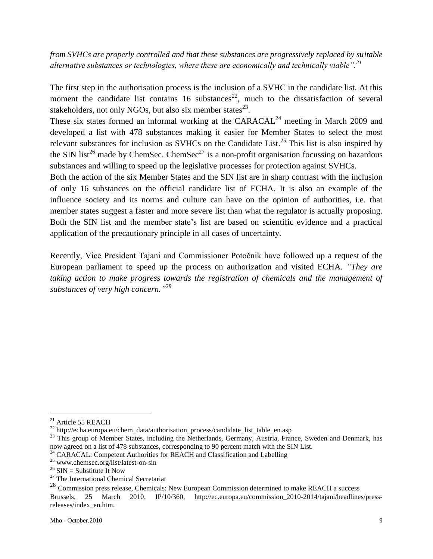*from SVHCs are properly controlled and that these substances are progressively replaced by suitable alternative substances or technologies, where these are economically and technically viable".<sup>21</sup>*

The first step in the authorisation process is the inclusion of a SVHC in the candidate list. At this moment the candidate list contains 16 substances<sup>22</sup>, much to the dissatisfaction of several stakeholders, not only NGOs, but also six member states $^{23}$ .

These six states formed an informal working at the  $CARACAL<sup>24</sup>$  meeting in March 2009 and developed a list with 478 substances making it easier for Member States to select the most relevant substances for inclusion as SVHCs on the Candidate List.<sup>25</sup> This list is also inspired by the SIN list<sup>26</sup> made by ChemSec. ChemSec<sup>27</sup> is a non-profit organisation focussing on hazardous substances and willing to speed up the legislative processes for protection against SVHCs.

Both the action of the six Member States and the SIN list are in sharp contrast with the inclusion of only 16 substances on the official candidate list of ECHA. It is also an example of the influence society and its norms and culture can have on the opinion of authorities, i.e. that member states suggest a faster and more severe list than what the regulator is actually proposing. Both the SIN list and the member state's list are based on scientific evidence and a practical application of the precautionary principle in all cases of uncertainty.

Recently, Vice President Tajani and Commissioner Potočnik have followed up a request of the European parliament to speed up the process on authorization and visited ECHA. *"They are taking action to make progress towards the registration of chemicals and the management of substances of very high concern." 28*

 $^{21}$  Article 55 REACH

<sup>&</sup>lt;sup>22</sup> http://echa.europa.eu/chem\_data/authorisation\_process/candidate\_list\_table\_en.asp

<sup>&</sup>lt;sup>23</sup> This group of Member States, including the Netherlands, Germany, Austria, France, Sweden and Denmark, has now agreed on a list of 478 substances, corresponding to 90 percent match with the SIN List.

<sup>&</sup>lt;sup>24</sup> CARACAL: Competent Authorities for REACH and Classification and Labelling

 $^{25}$  www.chemsec.org/list/latest-on-sin

<sup>&</sup>lt;sup>26</sup> SIN = Substitute It Now

 $27$  The International Chemical Secretariat

<sup>&</sup>lt;sup>28</sup> Commission press release, Chemicals: New European Commission determined to make REACH a success

Brussels, 25 March 2010, IP/10/360, http://ec.europa.eu/commission\_2010-2014/tajani/headlines/pressreleases/index\_en.htm.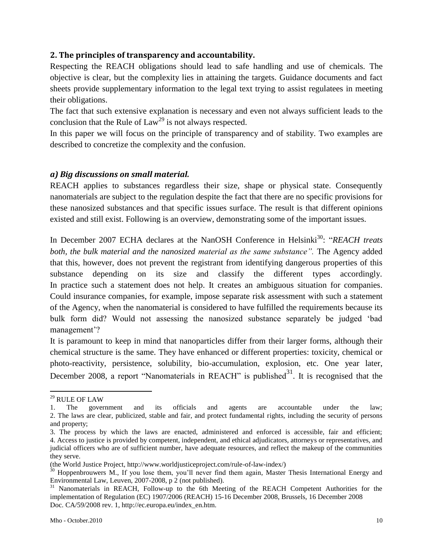#### <span id="page-9-0"></span>**2. The principles of transparency and accountability.**

Respecting the REACH obligations should lead to safe handling and use of chemicals. The objective is clear, but the complexity lies in attaining the targets. Guidance documents and fact sheets provide supplementary information to the legal text trying to assist regulatees in meeting their obligations.

The fact that such extensive explanation is necessary and even not always sufficient leads to the conclusion that the Rule of  $Law^{29}$  is not always respected.

In this paper we will focus on the principle of transparency and of stability. Two examples are described to concretize the complexity and the confusion.

#### <span id="page-9-1"></span>*a) Big discussions on small material.*

REACH applies to substances regardless their size, shape or physical state. Consequently nanomaterials are subject to the regulation despite the fact that there are no specific provisions for these nanosized substances and that specific issues surface. The result is that different opinions existed and still exist. Following is an overview, demonstrating some of the important issues.

In December 2007 ECHA declares at the NanOSH Conference in Helsinki<sup>30</sup>: "*REACH treats* both, the bulk material and the nanosized material as the same substance". The Agency added that this, however, does not prevent the registrant from identifying dangerous properties of this substance depending on its size and classify the different types accordingly. In practice such a statement does not help. It creates an ambiguous situation for companies. Could insurance companies, for example, impose separate risk assessment with such a statement of the Agency, when the nanomaterial is considered to have fulfilled the requirements because its bulk form did? Would not assessing the nanosized substance separately be judged "bad management'?

It is paramount to keep in mind that nanoparticles differ from their larger forms, although their chemical structure is the same. They have enhanced or different properties: toxicity, chemical or photo-reactivity, persistence, solubility, bio-accumulation, explosion, etc. One year later, December 2008, a report "Nanomaterials in REACH" is published $31$ . It is recognised that the

<sup>29</sup> RULE OF LAW

<sup>1.</sup> The government and its officials and agents are accountable under the law; 2. The laws are clear, publicized, stable and fair, and protect fundamental rights, including the security of persons and property;

<sup>3.</sup> The process by which the laws are enacted, administered and enforced is accessible, fair and efficient; 4. Access to justice is provided by competent, independent, and ethical adjudicators, attorneys or representatives, and judicial officers who are of sufficient number, have adequate resources, and reflect the makeup of the communities they serve.

<sup>(</sup>the World Justice Project, http://www.worldjusticeproject.com/rule-of-law-index/)

<sup>&</sup>lt;sup>30</sup> Hoppenbrouwers M., If you lose them, you'll never find them again, Master Thesis International Energy and Environmental Law, Leuven, 2007-2008, p 2 (not published).

<sup>&</sup>lt;sup>31</sup> Nanomaterials in REACH, Follow-up to the 6th Meeting of the REACH Competent Authorities for the implementation of Regulation (EC) 1907/2006 (REACH) 15-16 December 2008, Brussels, 16 December 2008 Doc. CA/59/2008 rev. 1, http://ec.europa.eu/index\_en.htm.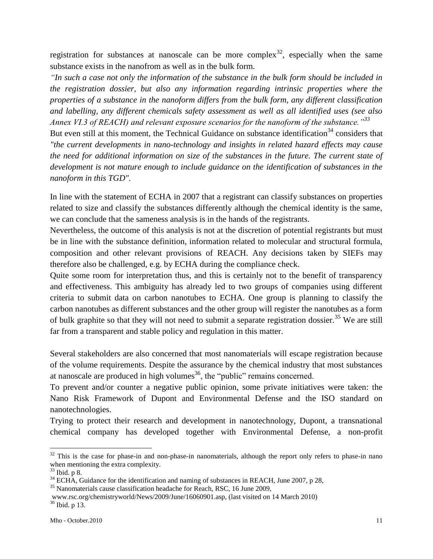registration for substances at nanoscale can be more complex<sup>32</sup>, especially when the same substance exists in the nanofrom as well as in the bulk form.

*"In such a case not only the information of the substance in the bulk form should be included in the registration dossier, but also any information regarding intrinsic properties where the properties of a substance in the nanoform differs from the bulk form, any different classification and labelling, any different chemicals safety assessment as well as all identified uses (see also Annex VI.3 of REACH) and relevant exposure scenarios for the nanoform of the substance."<sup>33</sup>*

But even still at this moment, the Technical Guidance on substance identification<sup>34</sup> considers that *"the current developments in nano-technology and insights in related hazard effects may cause the need for additional information on size of the substances in the future. The current state of development is not mature enough to include guidance on the identification of substances in the nanoform in this TGD".*

In line with the statement of ECHA in 2007 that a registrant can classify substances on properties related to size and classify the substances differently although the chemical identity is the same, we can conclude that the sameness analysis is in the hands of the registrants.

Nevertheless, the outcome of this analysis is not at the discretion of potential registrants but must be in line with the substance definition, information related to molecular and structural formula, composition and other relevant provisions of REACH. Any decisions taken by SIEFs may therefore also be challenged, e.g. by ECHA during the compliance check.

Quite some room for interpretation thus, and this is certainly not to the benefit of transparency and effectiveness. This ambiguity has already led to two groups of companies using different criteria to submit data on carbon nanotubes to ECHA. One group is planning to classify the carbon nanotubes as different substances and the other group will register the nanotubes as a form of bulk graphite so that they will not need to submit a separate registration dossier.<sup>35</sup> We are still far from a transparent and stable policy and regulation in this matter.

Several stakeholders are also concerned that most nanomaterials will escape registration because of the volume requirements. Despite the assurance by the chemical industry that most substances at nanoscale are produced in high volumes $^{36}$ , the "public" remains concerned.

To prevent and/or counter a negative public opinion, some private initiatives were taken: the Nano Risk Framework of Dupont and Environmental Defense and the ISO standard on nanotechnologies.

Trying to protect their research and development in nanotechnology, Dupont, a transnational chemical company has developed together with Environmental Defense, a non-profit

 $32$  This is the case for phase-in and non-phase-in nanomaterials, although the report only refers to phase-in nano when mentioning the extra complexity.

 $33$  Ibid. p 8.

 $34$  ECHA, Guidance for the identification and naming of substances in REACH, June 2007, p 28,

<sup>&</sup>lt;sup>35</sup> Nanomaterials cause classification headache for Reach, RSC, 16 June 2009,

www.rsc.org/chemistryworld/News/2009/June/16060901.asp, (last visited on 14 March 2010) <sup>36</sup> Ibid. p 13.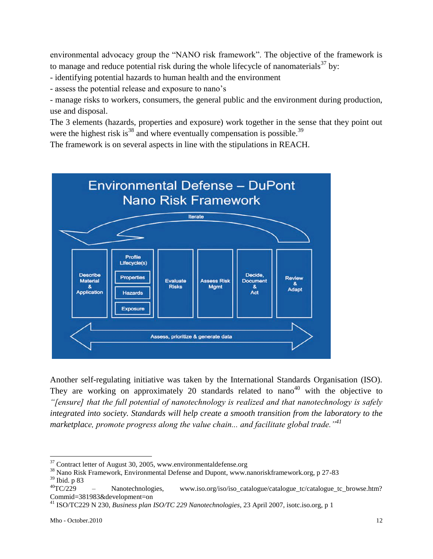environmental advocacy group the "NANO risk framework". The objective of the framework is to manage and reduce potential risk during the whole lifecycle of nanomaterials $37$  by:

- identifying potential hazards to human health and the environment

- assess the potential release and exposure to nano"s

- manage risks to workers, consumers, the general public and the environment during production, use and disposal.

The 3 elements (hazards, properties and exposure) work together in the sense that they point out were the highest risk is<sup>38</sup> and where eventually compensation is possible.<sup>39</sup>

The framework is on several aspects in line with the stipulations in REACH.



Another self-regulating initiative was taken by the International Standards Organisation (ISO). They are working on approximately 20 standards related to  $nano<sup>40</sup>$  with the objective to *"[ensure] that the full potential of nanotechnology is realized and that nanotechnology is safely integrated into society. Standards will help create a smooth transition from the laboratory to the marketplace, promote progress along the value chain... and facilitate global trade."<sup>41</sup>*

 $37$  Contract letter of August 30, 2005, www.environmental defense.org

<sup>38</sup> Nano Risk Framework, Environmental Defense and Dupont, www.nanoriskframework.org, p 27-83  $^{39}$  Ibid. p 83<br> $^{40}$ TC/229

Nanotechnologies, www.iso.org/iso/iso\_catalogue/catalogue\_tc/catalogue\_tc\_browse.htm? Commid=381983&development=on

<sup>41</sup> ISO/TC229 N 230, *Business plan ISO/TC 229 Nanotechnologies*, 23 April 2007, isotc.iso.org, p 1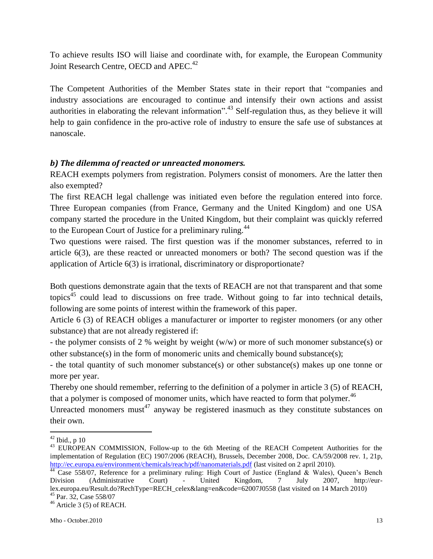To achieve results ISO will liaise and coordinate with, for example, the European Community Joint Research Centre, OECD and APEC.<sup>42</sup>

The Competent Authorities of the Member States state in their report that "companies and industry associations are encouraged to continue and intensify their own actions and assist authorities in elaborating the relevant information".<sup>43</sup> Self-regulation thus, as they believe it will help to gain confidence in the pro-active role of industry to ensure the safe use of substances at nanoscale.

# <span id="page-12-0"></span>*b) The dilemma of reacted or unreacted monomers.*

REACH exempts polymers from registration. Polymers consist of monomers. Are the latter then also exempted?

The first REACH legal challenge was initiated even before the regulation entered into force. Three European companies (from France, Germany and the United Kingdom) and one USA company started the procedure in the United Kingdom, but their complaint was quickly referred to the European Court of Justice for a preliminary ruling.<sup>44</sup>

Two questions were raised. The first question was if the monomer substances, referred to in article 6(3), are these reacted or unreacted monomers or both? The second question was if the application of Article 6(3) is irrational, discriminatory or disproportionate?

Both questions demonstrate again that the texts of REACH are not that transparent and that some topics<sup>45</sup> could lead to discussions on free trade. Without going to far into technical details, following are some points of interest within the framework of this paper.

Article 6 (3) of REACH obliges a manufacturer or importer to register monomers (or any other substance) that are not already registered if:

- the polymer consists of 2 % weight by weight (w/w) or more of such monomer substance(s) or other substance(s) in the form of monomeric units and chemically bound substance(s);

- the total quantity of such monomer substance(s) or other substance(s) makes up one tonne or more per year.

Thereby one should remember, referring to the definition of a polymer in article 3 (5) of REACH, that a polymer is composed of monomer units, which have reacted to form that polymer.<sup>46</sup>

Unreacted monomers must<sup>47</sup> anyway be registered inasmuch as they constitute substances on their own.

 $42$  Ibid., p 10

<sup>&</sup>lt;sup>43</sup> EUROPEAN COMMISSION, Follow-up to the 6th Meeting of the REACH Competent Authorities for the implementation of Regulation (EC) 1907/2006 (REACH), Brussels, December 2008, Doc. CA/59/2008 rev. 1, 21p, <http://ec.europa.eu/environment/chemicals/reach/pdf/nanomaterials.pdf> (last visited on 2 april 2010).

<sup>&</sup>lt;sup>44</sup> Case 558/07, Reference for a preliminary ruling: High Court of Justice (England & Wales), Queen's Bench Division (Administrative Court) - United Kingdom, 7 July 2007, http://eurlex.europa.eu/Result.do?RechType=RECH\_celex&lang=en&code=62007J0558 (last visited on 14 March 2010) <sup>45</sup> Par. 32, Case 558/07

 $46$  Article 3 (5) of REACH.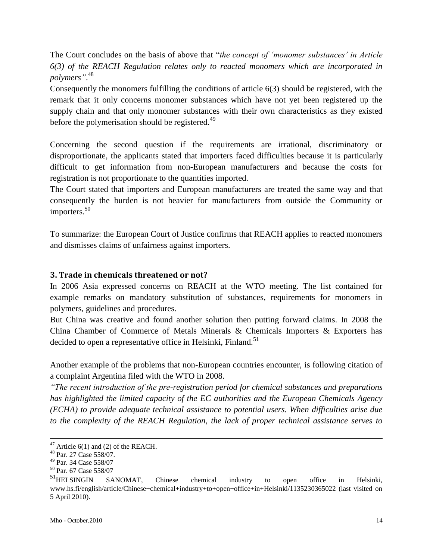The Court concludes on the basis of above that "*the concept of "monomer substances" in Article 6(3) of the REACH Regulation relates only to reacted monomers which are incorporated in polymers"*. 48

Consequently the monomers fulfilling the conditions of article 6(3) should be registered, with the remark that it only concerns monomer substances which have not yet been registered up the supply chain and that only monomer substances with their own characteristics as they existed before the polymerisation should be registered.<sup>49</sup>

Concerning the second question if the requirements are irrational, discriminatory or disproportionate, the applicants stated that importers faced difficulties because it is particularly difficult to get information from non-European manufacturers and because the costs for registration is not proportionate to the quantities imported.

The Court stated that importers and European manufacturers are treated the same way and that consequently the burden is not heavier for manufacturers from outside the Community or importers.<sup>50</sup>

To summarize: the European Court of Justice confirms that REACH applies to reacted monomers and dismisses claims of unfairness against importers.

#### <span id="page-13-0"></span>**3. Trade in chemicals threatened or not?**

In 2006 Asia expressed concerns on REACH at the WTO meeting. The list contained for example remarks on mandatory substitution of substances, requirements for monomers in polymers, guidelines and procedures.

But China was creative and found another solution then putting forward claims. In 2008 the China Chamber of Commerce of Metals Minerals & Chemicals Importers & Exporters has decided to open a representative office in Helsinki, Finland.<sup>51</sup>

Another example of the problems that non-European countries encounter, is following citation of a complaint Argentina filed with the WTO in 2008.

*"The recent introduction of the pre-registration period for chemical substances and preparations has highlighted the limited capacity of the EC authorities and the European Chemicals Agency (ECHA) to provide adequate technical assistance to potential users. When difficulties arise due to the complexity of the REACH Regulation, the lack of proper technical assistance serves to* 

<u>.</u>

 $47$  Article 6(1) and (2) of the REACH.

<sup>48</sup> Par. 27 Case 558/07.

<sup>49</sup> Par. 34 Case 558/07

<sup>50</sup> Par. 67 Case 558/07

<sup>&</sup>lt;sup>51</sup>HELSINGIN SANOMAT, Chinese chemical industry to open office in Helsinki, www.hs.fi/english/article/Chinese+chemical+industry+to+open+office+in+Helsinki/1135230365022 (last visited on 5 April 2010).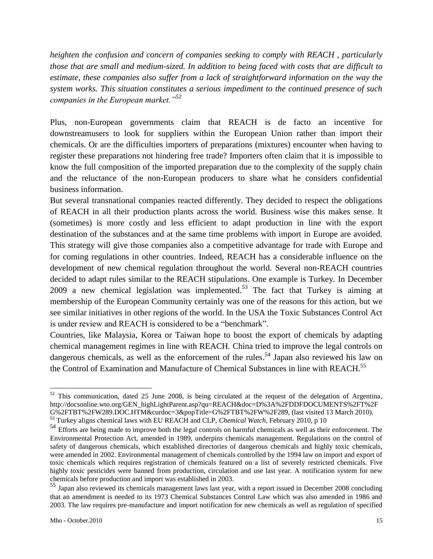*heighten the confusion and concern of companies seeking to comply with REACH , particularly those that are small and medium-sized. In addition to being faced with costs that are difficult to estimate, these companies also suffer from a lack of straightforward information on the way the system works. This situation constitutes a serious impediment to the continued presence of such companies in the European market."<sup>52</sup>*

Plus, non-European governments claim that REACH is de facto an incentive for downstreamusers to look for suppliers within the European Union rather than import their chemicals. Or are the difficulties importers of preparations (mixtures) encounter when having to register these preparations not hindering free trade? Importers often claim that it is impossible to know the full composition of the imported preparation due to the complexity of the supply chain and the reluctance of the non-European producers to share what he considers confidential business information.

But several transnational companies reacted differently. They decided to respect the obligations of REACH in all their production plants across the world. Business wise this makes sense. It (sometimes) is more costly and less efficient to adapt production in line with the export destination of the substances and at the same time problems with import in Europe are avoided. This strategy will give those companies also a competitive advantage for trade with Europe and for coming regulations in other countries. Indeed, REACH has a considerable influence on the development of new chemical regulation throughout the world. Several non-REACH countries decided to adapt rules similar to the REACH stipulations. One example is Turkey. In December 2009 a new chemical legislation was implemented.<sup>53</sup> The fact that Turkey is aiming at membership of the European Community certainly was one of the reasons for this action, but we see similar initiatives in other regions of the world. In the USA the Toxic Substances Control Act is under review and REACH is considered to be a "benchmark".

Countries, like Malaysia, Korea or Taiwan hope to boost the export of chemicals by adapting chemical management regimes in line with REACH. China tried to improve the legal controls on dangerous chemicals, as well as the enforcement of the rules.<sup>54</sup> Japan also reviewed his law on the Control of Examination and Manufacture of Chemical Substances in line with REACH.<sup>55</sup>

<sup>&</sup>lt;sup>52</sup> This communication, dated 25 June 2008, is being circulated at the request of the delegation of Argentina, http://docsonline.wto.org/GEN\_highLightParent.asp?qu=REACH&doc=D%3A%2FDDFDOCUMENTS%2FT%2F G%2FTBT%2FW289.DOC.HTM&curdoc=3&popTitle=G%2FTBT%2FW%2F289, (last visited 13 March 2010). <sup>53</sup> Turkey aligns chemical laws with EU REACH and CLP, *Chemical Watch,* February 2010, p 10

<sup>&</sup>lt;sup>54</sup> Efforts are being made to improve both the legal controls on harmful chemicals as well as their enforcement. The Environmental Protection Act, amended in 1989, underpins chemicals management. Regulations on the control of safety of dangerous chemicals, which established directories of dangerous chemicals and highly toxic chemicals, were amended in 2002. Environmental management of chemicals controlled by the 1994 law on import and export of toxic chemicals which requires registration of chemicals featured on a list of severely restricted chemicals. Five highly toxic pesticides were banned from production, circulation and use last year. A notification system for new chemicals before production and import was established in 2003.

<sup>55</sup> Japan also reviewed its chemicals management laws last year, with a report issued in December 2008 concluding that an amendment is needed to its 1973 Chemical Substances Control Law which was also amended in 1986 and 2003. The law requires pre-manufacture and import notification for new chemicals as well as regulation of specified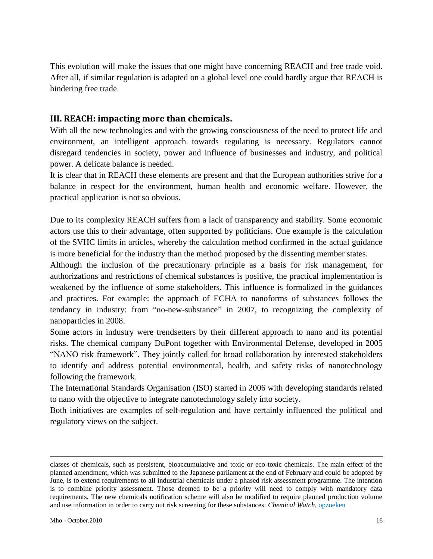This evolution will make the issues that one might have concerning REACH and free trade void. After all, if similar regulation is adapted on a global level one could hardly argue that REACH is hindering free trade.

## <span id="page-15-0"></span>**III. REACH: impacting more than chemicals.**

With all the new technologies and with the growing consciousness of the need to protect life and environment, an intelligent approach towards regulating is necessary. Regulators cannot disregard tendencies in society, power and influence of businesses and industry, and political power. A delicate balance is needed.

It is clear that in REACH these elements are present and that the European authorities strive for a balance in respect for the environment, human health and economic welfare. However, the practical application is not so obvious.

Due to its complexity REACH suffers from a lack of transparency and stability. Some economic actors use this to their advantage, often supported by politicians. One example is the calculation of the SVHC limits in articles, whereby the calculation method confirmed in the actual guidance is more beneficial for the industry than the method proposed by the dissenting member states.

Although the inclusion of the precautionary principle as a basis for risk management, for authorizations and restrictions of chemical substances is positive, the practical implementation is weakened by the influence of some stakeholders. This influence is formalized in the guidances and practices. For example: the approach of ECHA to nanoforms of substances follows the tendancy in industry: from "no-new-substance" in 2007, to recognizing the complexity of nanoparticles in 2008.

Some actors in industry were trendsetters by their different approach to nano and its potential risks. The chemical company DuPont together with Environmental Defense, developed in 2005 "NANO risk framework". They jointly called for broad collaboration by interested stakeholders to identify and address potential environmental, health, and safety risks of nanotechnology following the framework.

The International Standards Organisation (ISO) started in 2006 with developing standards related to nano with the objective to integrate nanotechnology safely into society.

Both initiatives are examples of self-regulation and have certainly influenced the political and regulatory views on the subject.

1

classes of chemicals, such as persistent, bioaccumulative and toxic or eco-toxic chemicals. The main effect of the planned amendment, which was submitted to the Japanese parliament at the end of February and could be adopted by June, is to extend requirements to all industrial chemicals under a phased risk assessment programme. The intention is to combine priority assessment. Those deemed to be a priority will need to comply with mandatory data requirements. The new chemicals notification scheme will also be modified to require planned production volume and use information in order to carry out risk screening for these substances. *Chemical Watch,* opzoeken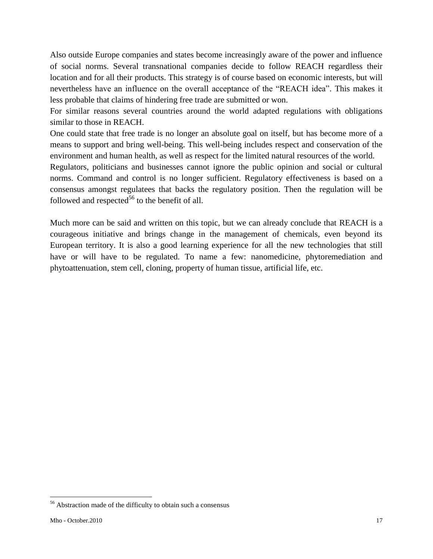Also outside Europe companies and states become increasingly aware of the power and influence of social norms. Several transnational companies decide to follow REACH regardless their location and for all their products. This strategy is of course based on economic interests, but will nevertheless have an influence on the overall acceptance of the "REACH idea". This makes it less probable that claims of hindering free trade are submitted or won.

For similar reasons several countries around the world adapted regulations with obligations similar to those in REACH.

One could state that free trade is no longer an absolute goal on itself, but has become more of a means to support and bring well-being. This well-being includes respect and conservation of the environment and human health, as well as respect for the limited natural resources of the world.

Regulators, politicians and businesses cannot ignore the public opinion and social or cultural norms. Command and control is no longer sufficient. Regulatory effectiveness is based on a consensus amongst regulatees that backs the regulatory position. Then the regulation will be followed and respected<sup>56</sup> to the benefit of all.

Much more can be said and written on this topic, but we can already conclude that REACH is a courageous initiative and brings change in the management of chemicals, even beyond its European territory. It is also a good learning experience for all the new technologies that still have or will have to be regulated. To name a few: nanomedicine, phytoremediation and phytoattenuation, stem cell, cloning, property of human tissue, artificial life, etc.

<sup>56</sup> Abstraction made of the difficulty to obtain such a consensus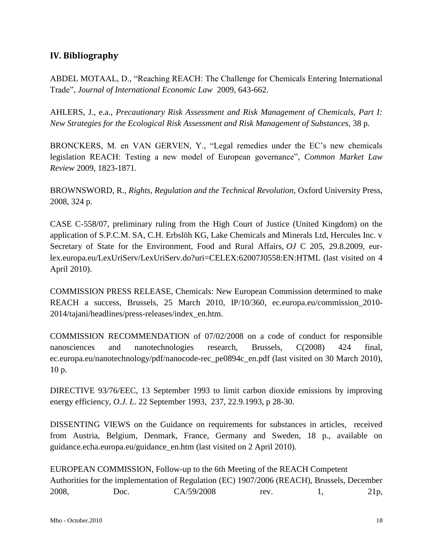# <span id="page-17-0"></span>**IV. Bibliography**

ABDEL MOTAAL, D., "Reaching REACH: The Challenge for Chemicals Entering International Trade", *Journal of International Economic Law* 2009, 643-662.

AHLERS, J., e.a., *Precautionary Risk Assessment and Risk Management of Chemicals, Part I: New Strategies for the Ecological Risk Assessment and Risk Management of Substances,* 38 p.

BRONCKERS, M. en VAN GERVEN, Y., "Legal remedies under the EC"s new chemicals legislation REACH: Testing a new model of European governance", *Common Market Law Review* 2009, 1823-1871.

BROWNSWORD, R., *Rights, Regulation and the Technical Revolution,* Oxford University Press, 2008, 324 p.

CASE C-558/07, preliminary ruling from the High Court of Justice (United Kingdom) on the application of S.P.C.M. SA, C.H. Erbslöh KG, Lake Chemicals and Minerals Ltd, Hercules Inc. v Secretary of State for the Environment, Food and Rural Affairs, *OJ* C 205, 29.8.2009, eurlex.europa.eu/LexUriServ/LexUriServ.do?uri=CELEX:62007J0558:EN:HTML (last visited on 4 April 2010).

COMMISSION PRESS RELEASE, Chemicals: New European Commission determined to make REACH a success, Brussels, 25 March 2010, IP/10/360, ec.europa.eu/commission\_2010- 2014/tajani/headlines/press-releases/index\_en.htm.

COMMISSION RECOMMENDATION of 07/02/2008 on a code of conduct for responsible nanosciences and nanotechnologies research, Brussels, C(2008) 424 final, ec.europa.eu/nanotechnology/pdf/nanocode-rec\_pe0894c\_en.pdf (last visited on 30 March 2010), 10 p.

DIRECTIVE 93/76/EEC, 13 September 1993 to limit carbon dioxide emissions by improving energy efficiency, *O.J. L*. 22 September 1993, 237, 22.9.1993, p 28-30.

DISSENTING VIEWS on the Guidance on requirements for substances in articles, received from Austria, Belgium, Denmark, France, Germany and Sweden, 18 p., available on guidance.echa.europa.eu/guidance\_en.htm (last visited on 2 April 2010).

EUROPEAN COMMISSION, Follow-up to the 6th Meeting of the REACH Competent Authorities for the implementation of Regulation (EC) 1907/2006 (REACH), Brussels, December 2008, Doc. CA/59/2008 rev. 1, 21p,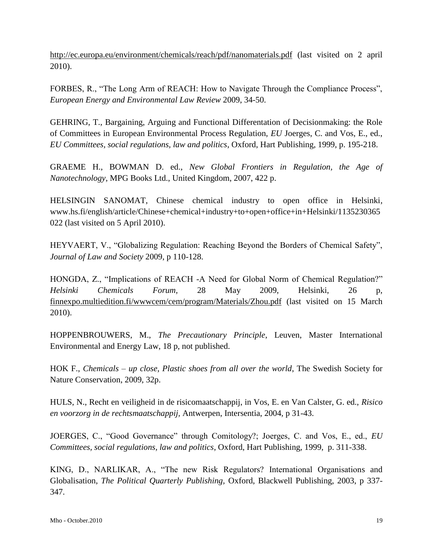<http://ec.europa.eu/environment/chemicals/reach/pdf/nanomaterials.pdf> (last visited on 2 april 2010).

FORBES, R., "The Long Arm of REACH: How to Navigate Through the Compliance Process", *European Energy and Environmental Law Review* 2009, 34-50.

GEHRING, T., Bargaining, Arguing and Functional Differentation of Decisionmaking: the Role of Committees in European Environmental Process Regulation, *EU* Joerges, C. and Vos, E., ed., *EU Committees, social regulations, law and politics*, Oxford, Hart Publishing, 1999, p. 195-218.

GRAEME H., BOWMAN D. ed., *New Global Frontiers in Regulation, the Age of Nanotechnology,* MPG Books Ltd., United Kingdom, 2007, 422 p.

HELSINGIN SANOMAT, Chinese chemical industry to open office in Helsinki, www.hs.fi/english/article/Chinese+chemical+industry+to+open+office+in+Helsinki/1135230365 022 (last visited on 5 April 2010).

HEYVAERT, V., "Globalizing Regulation: Reaching Beyond the Borders of Chemical Safety", *Journal of Law and Society* 2009, p 110-128.

HONGDA, Z., "Implications of REACH -A Need for Global Norm of Chemical Regulation?" *Helsinki Chemicals Forum,* 28 May 2009, Helsinki, 26 p, [finnexpo.multiedition.fi/wwwcem/cem/program/Materials/Zhou.pdf](http://finnexpo.multiedition.fi/wwwcem/cem/program/Materials/Zhou.pdf) (last visited on 15 March 2010).

HOPPENBROUWERS, M., *The Precautionary Principle*, Leuven, Master International Environmental and Energy Law, 18 p, not published.

HOK F., *Chemicals – up close, Plastic shoes from all over the world*, The Swedish Society for Nature Conservation, 2009, 32p.

HULS, N., Recht en veiligheid in de risicomaatschappij, in Vos, E. en Van Calster, G. ed., *Risico en voorzorg in de rechtsmaatschappij,* Antwerpen, Intersentia, 2004, p 31-43.

JOERGES, C., "Good Governance" through Comitology?; Joerges, C. and Vos, E., ed., *EU Committees, social regulations, law and politics*, Oxford, Hart Publishing, 1999, p. 311-338.

KING, D., NARLIKAR, A., "The new Risk Regulators? International Organisations and Globalisation, *The Political Quarterly Publishing,* Oxford, Blackwell Publishing, 2003, p 337- 347.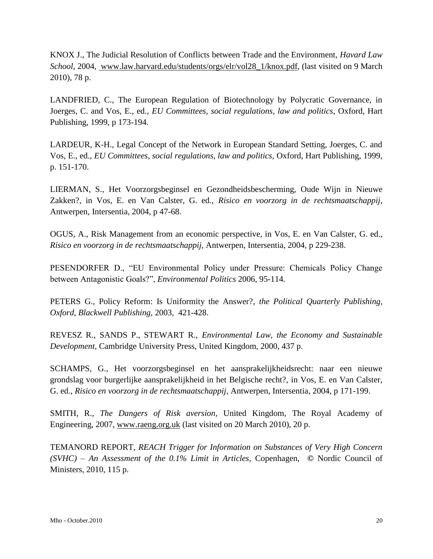KNOX J., The Judicial Resolution of Conflicts between Trade and the Environment, *Havard Law School*, 2004, www.law.harvard.edu/students/orgs/elr/vol28\_1/knox.pdf, (last visited on 9 March 2010), 78 p.

LANDFRIED, C., The European Regulation of Biotechnology by Polycratic Governance, in Joerges, C. and Vos, E., ed., *EU Committees, social regulations, law and politics*, Oxford, Hart Publishing, 1999, p 173-194.

LARDEUR, K-H., Legal Concept of the Network in European Standard Setting, Joerges, C. and Vos, E., ed., *EU Committees, social regulations, law and politics*, Oxford, Hart Publishing, 1999, p. 151-170.

LIERMAN, S., Het Voorzorgsbeginsel en Gezondheidsbescherming, Oude Wijn in Nieuwe Zakken?, in Vos, E. en Van Calster, G. ed., *Risico en voorzorg in de rechtsmaatschappij,*  Antwerpen, Intersentia, 2004, p 47-68.

OGUS, A., Risk Management from an economic perspective, in Vos, E. en Van Calster, G. ed., *Risico en voorzorg in de rechtsmaatschappij,* Antwerpen, Intersentia, 2004, p 229-238.

PESENDORFER D., "EU Environmental Policy under Pressure: Chemicals Policy Change between Antagonistic Goals?", *Environmental Politics* 2006, 95-114.

PETERS G., Policy Reform: Is Uniformity the Answer?, *the Political Quarterly Publishing, Oxford, Blackwell Publishing,* 2003*,* 421-428.

REVESZ R., SANDS P., STEWART R., *Environmental Law, the Economy and Sustainable Development,* Cambridge University Press, United Kingdom, 2000, 437 p.

SCHAMPS, G., Het voorzorgsbeginsel en het aansprakelijkheidsrecht: naar een nieuwe grondslag voor burgerlijke aansprakelijkheid in het Belgische recht?, in Vos, E. en Van Calster, G. ed., *Risico en voorzorg in de rechtsmaatschappij,* Antwerpen, Intersentia, 2004, p 171-199.

SMITH, R., *The Dangers of Risk aversion*, United Kingdom, The Royal Academy of Engineering, 2007, [www.raeng.org.uk](http://www.raeng.org.uk/) (last visited on 20 March 2010), 20 p.

TEMANORD REPORT, *REACH Trigger for Information on Substances of Very High Concern (SVHC)* – *An Assessment of the 0.1% Limit in Articles*, Copenhagen, **©** Nordic Council of Ministers, 2010, 115 p.